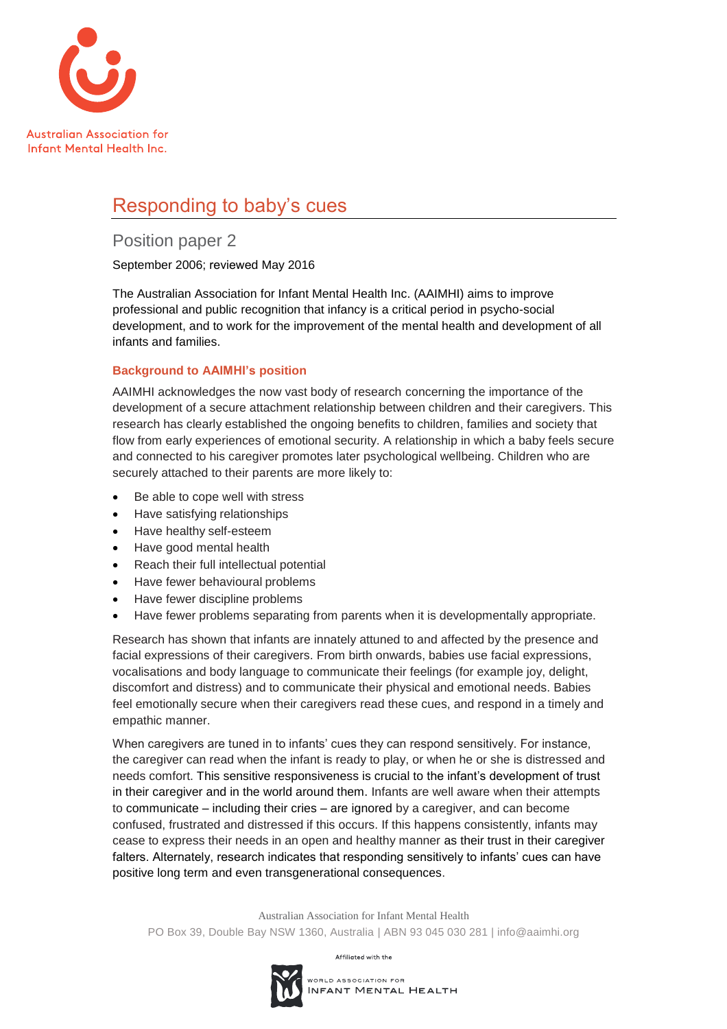

# Responding to baby's cues

# Position paper 2

September 2006; reviewed May 2016

The Australian Association for Infant Mental Health Inc. (AAIMHI) aims to improve professional and public recognition that infancy is a critical period in psycho-social development, and to work for the improvement of the mental health and development of all infants and families.

# **Background to AAIMHI's position**

AAIMHI acknowledges the now vast body of research concerning the importance of the development of a secure attachment relationship between children and their caregivers. This research has clearly established the ongoing benefits to children, families and society that flow from early experiences of emotional security. A relationship in which a baby feels secure and connected to his caregiver promotes later psychological wellbeing. Children who are securely attached to their parents are more likely to:

- Be able to cope well with stress
- Have satisfying relationships
- Have healthy self-esteem
- Have good mental health
- Reach their full intellectual potential
- Have fewer behavioural problems
- Have fewer discipline problems
- Have fewer problems separating from parents when it is developmentally appropriate.

Research has shown that infants are innately attuned to and affected by the presence and facial expressions of their caregivers. From birth onwards, babies use facial expressions, vocalisations and body language to communicate their feelings (for example joy, delight, discomfort and distress) and to communicate their physical and emotional needs. Babies feel emotionally secure when their caregivers read these cues, and respond in a timely and empathic manner.

When caregivers are tuned in to infants' cues they can respond sensitively. For instance, the caregiver can read when the infant is ready to play, or when he or she is distressed and needs comfort. This sensitive responsiveness is crucial to the infant's development of trust in their caregiver and in the world around them. Infants are well aware when their attempts to communicate – including their cries – are ignored by a caregiver, and can become confused, frustrated and distressed if this occurs. If this happens consistently, infants may cease to express their needs in an open and healthy manner as their trust in their caregiver falters. Alternately, research indicates that responding sensitively to infants' cues can have positive long term and even transgenerational consequences.

Australian Association for Infant Mental Health PO Box 39, Double Bay NSW 1360, Australia | ABN 93 045 030 281 | info@aaimhi.org

Affiliated with the

WORLD ASSOCIATION FOR INFANT MENTAL HEALTH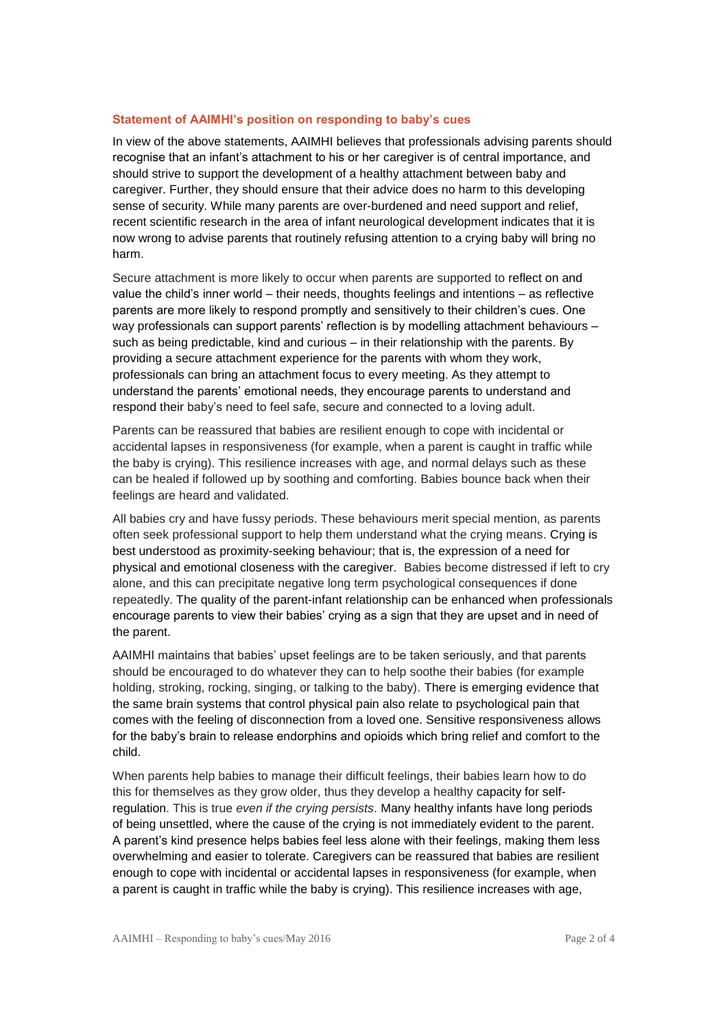#### **Statement of AAIMHI's position on responding to baby's cues**

In view of the above statements, AAIMHI believes that professionals advising parents should recognise that an infant's attachment to his or her caregiver is of central importance, and should strive to support the development of a healthy attachment between baby and caregiver. Further, they should ensure that their advice does no harm to this developing sense of security. While many parents are over-burdened and need support and relief, recent scientific research in the area of infant neurological development indicates that it is now wrong to advise parents that routinely refusing attention to a crying baby will bring no harm.

Secure attachment is more likely to occur when parents are supported to reflect on and value the child's inner world – their needs, thoughts feelings and intentions – as reflective parents are more likely to respond promptly and sensitively to their children's cues. One way professionals can support parents' reflection is by modelling attachment behaviours – such as being predictable, kind and curious – in their relationship with the parents. By providing a secure attachment experience for the parents with whom they work, professionals can bring an attachment focus to every meeting. As they attempt to understand the parents' emotional needs, they encourage parents to understand and respond their baby's need to feel safe, secure and connected to a loving adult.

Parents can be reassured that babies are resilient enough to cope with incidental or accidental lapses in responsiveness (for example, when a parent is caught in traffic while the baby is crying). This resilience increases with age, and normal delays such as these can be healed if followed up by soothing and comforting. Babies bounce back when their feelings are heard and validated.

All babies cry and have fussy periods. These behaviours merit special mention, as parents often seek professional support to help them understand what the crying means. Crying is best understood as proximity-seeking behaviour; that is, the expression of a need for physical and emotional closeness with the caregiver. Babies become distressed if left to cry alone, and this can precipitate negative long term psychological consequences if done repeatedly. The quality of the parent-infant relationship can be enhanced when professionals encourage parents to view their babies' crying as a sign that they are upset and in need of the parent.

AAIMHI maintains that babies' upset feelings are to be taken seriously, and that parents should be encouraged to do whatever they can to help soothe their babies (for example holding, stroking, rocking, singing, or talking to the baby). There is emerging evidence that the same brain systems that control physical pain also relate to psychological pain that comes with the feeling of disconnection from a loved one. Sensitive responsiveness allows for the baby's brain to release endorphins and opioids which bring relief and comfort to the child.

When parents help babies to manage their difficult feelings, their babies learn how to do this for themselves as they grow older, thus they develop a healthy capacity for selfregulation. This is true *even if the crying persists*. Many healthy infants have long periods of being unsettled, where the cause of the crying is not immediately evident to the parent. A parent's kind presence helps babies feel less alone with their feelings, making them less overwhelming and easier to tolerate. Caregivers can be reassured that babies are resilient enough to cope with incidental or accidental lapses in responsiveness (for example, when a parent is caught in traffic while the baby is crying). This resilience increases with age,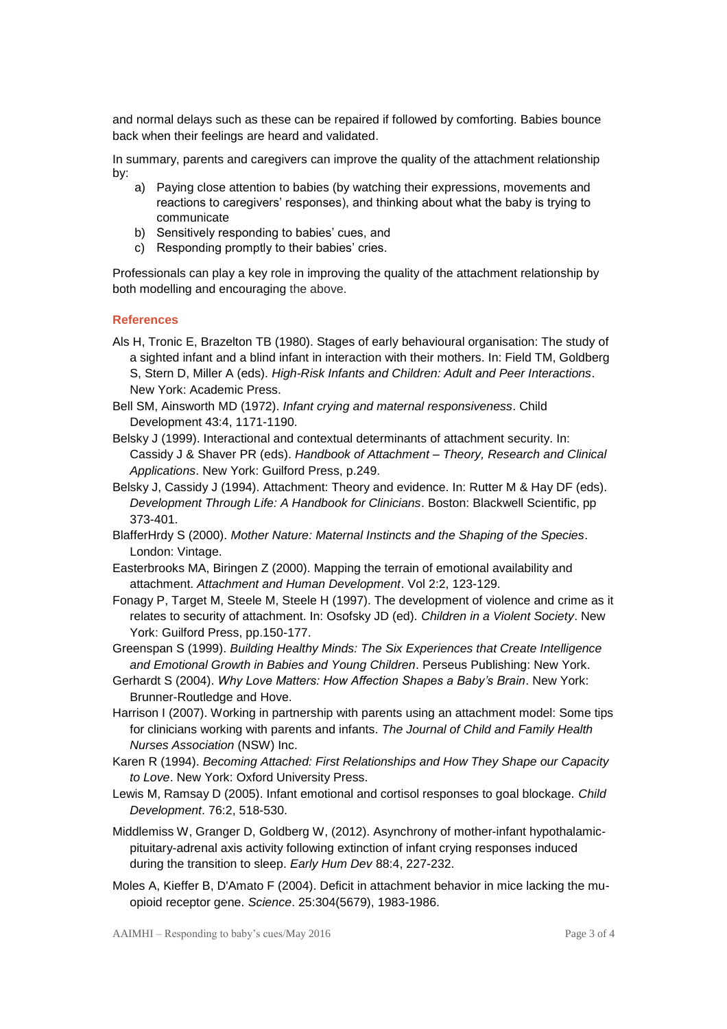and normal delays such as these can be repaired if followed by comforting. Babies bounce back when their feelings are heard and validated.

In summary, parents and caregivers can improve the quality of the attachment relationship by:

- a) Paying close attention to babies (by watching their expressions, movements and reactions to caregivers' responses), and thinking about what the baby is trying to communicate
- b) Sensitively responding to babies' cues, and
- c) Responding promptly to their babies' cries.

Professionals can play a key role in improving the quality of the attachment relationship by both modelling and encouraging the above.

#### **References**

- Als H, Tronic E, Brazelton TB (1980). Stages of early behavioural organisation: The study of a sighted infant and a blind infant in interaction with their mothers. In: Field TM, Goldberg S, Stern D, Miller A (eds). *High-Risk Infants and Children: Adult and Peer Interactions*. New York: Academic Press.
- Bell SM, Ainsworth MD (1972). *Infant crying and maternal responsiveness*. Child Development 43:4, 1171-1190.
- Belsky J (1999). Interactional and contextual determinants of attachment security. In: Cassidy J & Shaver PR (eds). *Handbook of Attachment – Theory, Research and Clinical Applications*. New York: Guilford Press, p.249.
- Belsky J, Cassidy J (1994). Attachment: Theory and evidence. In: Rutter M & Hay DF (eds). *Development Through Life: A Handbook for Clinicians*. Boston: Blackwell Scientific, pp 373-401.
- BlafferHrdy S (2000). *Mother Nature: Maternal Instincts and the Shaping of the Species*. London: Vintage.
- Easterbrooks MA, Biringen Z (2000). Mapping the terrain of emotional availability and attachment. *Attachment and Human Development*. Vol 2:2, 123-129.
- Fonagy P, Target M, Steele M, Steele H (1997). The development of violence and crime as it relates to security of attachment. In: Osofsky JD (ed). *Children in a Violent Society*. New York: Guilford Press, pp.150-177.
- Greenspan S (1999). *Building Healthy Minds: The Six Experiences that Create Intelligence and Emotional Growth in Babies and Young Children*. Perseus Publishing: New York.
- Gerhardt S (2004). *Why Love Matters: How Affection Shapes a Baby's Brain*. New York: Brunner-Routledge and Hove.
- Harrison I (2007). Working in partnership with parents using an attachment model: Some tips for clinicians working with parents and infants. *The Journal of Child and Family Health Nurses Association* (NSW) Inc.
- Karen R (1994). *Becoming Attached: First Relationships and How They Shape our Capacity to Love*. New York: Oxford University Press.
- Lewis M, Ramsay D (2005). Infant emotional and cortisol responses to goal blockage. *Child Development*. 76:2, 518-530.
- [Middlemiss W,](http://www.ncbi.nlm.nih.gov/pubmed/?term=Middlemiss%20W%5BAuthor%5D&cauthor=true&cauthor_uid=21945361) Granger D, [Goldberg W,](http://www.ncbi.nlm.nih.gov/pubmed/?term=Goldberg%20WA%5BAuthor%5D&cauthor=true&cauthor_uid=21945361) (2012). Asynchrony of mother-infant hypothalamicpituitary-adrenal axis activity following extinction of infant crying responses induced during the transition to sleep. *[Early Hum Dev](http://www.ncbi.nlm.nih.gov/pubmed/21945361)* 88:4, 227-232.
- Moles A, [Kieffer B,](http://www.ncbi.nlm.nih.gov/pubmed/?term=Kieffer%20BL%5BAuthor%5D&cauthor=true&cauthor_uid=15218152) [D'Amato F](http://www.ncbi.nlm.nih.gov/pubmed/?term=D%27Amato%20FR%5BAuthor%5D&cauthor=true&cauthor_uid=15218152) (2004). Deficit in attachment behavior in mice lacking the muopioid receptor gene. *[Science](http://www.ncbi.nlm.nih.gov/pubmed/15218152)*. 25:304(5679), 1983-1986.